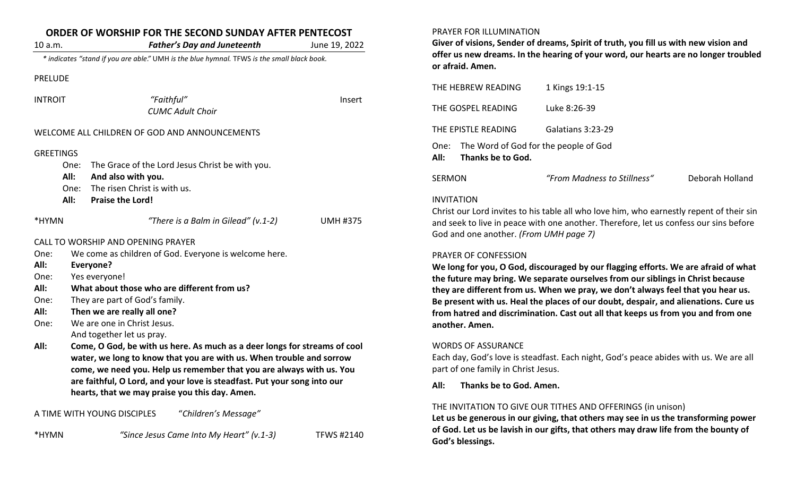| ORDER OF WORSHIP FOR THE SECOND SUNDAY AFTER PENTECOST |                                                                                                                                                                                                                                                                                                                                                         |                 |  |  |
|--------------------------------------------------------|---------------------------------------------------------------------------------------------------------------------------------------------------------------------------------------------------------------------------------------------------------------------------------------------------------------------------------------------------------|-----------------|--|--|
| 10 a.m.                                                | <b>Father's Day and Juneteenth</b>                                                                                                                                                                                                                                                                                                                      | June 19, 2022   |  |  |
|                                                        | * indicates "stand if you are able." UMH is the blue hymnal. TFWS is the small black book.                                                                                                                                                                                                                                                              |                 |  |  |
| <b>PRELUDE</b>                                         |                                                                                                                                                                                                                                                                                                                                                         |                 |  |  |
| <b>INTROIT</b>                                         | "Faithful"                                                                                                                                                                                                                                                                                                                                              | Insert          |  |  |
|                                                        | <b>CUMC Adult Choir</b>                                                                                                                                                                                                                                                                                                                                 |                 |  |  |
|                                                        | WELCOME ALL CHILDREN OF GOD AND ANNOUNCEMENTS                                                                                                                                                                                                                                                                                                           |                 |  |  |
| <b>GREETINGS</b>                                       |                                                                                                                                                                                                                                                                                                                                                         |                 |  |  |
| One:<br>All:                                           | The Grace of the Lord Jesus Christ be with you.<br>And also with you.                                                                                                                                                                                                                                                                                   |                 |  |  |
| One:                                                   | The risen Christ is with us.                                                                                                                                                                                                                                                                                                                            |                 |  |  |
| All:                                                   | <b>Praise the Lord!</b>                                                                                                                                                                                                                                                                                                                                 |                 |  |  |
| *HYMN                                                  | "There is a Balm in Gilead" (v.1-2)                                                                                                                                                                                                                                                                                                                     | <b>UMH #375</b> |  |  |
|                                                        | CALL TO WORSHIP AND OPENING PRAYER                                                                                                                                                                                                                                                                                                                      |                 |  |  |
| One:                                                   | We come as children of God. Everyone is welcome here.                                                                                                                                                                                                                                                                                                   |                 |  |  |
| All:<br>One:                                           | Everyone?                                                                                                                                                                                                                                                                                                                                               |                 |  |  |
| All:                                                   | Yes everyone!<br>What about those who are different from us?                                                                                                                                                                                                                                                                                            |                 |  |  |
| One:                                                   | They are part of God's family.                                                                                                                                                                                                                                                                                                                          |                 |  |  |
| All:                                                   | Then we are really all one?                                                                                                                                                                                                                                                                                                                             |                 |  |  |
| One:                                                   | We are one in Christ Jesus.                                                                                                                                                                                                                                                                                                                             |                 |  |  |
|                                                        | And together let us pray.                                                                                                                                                                                                                                                                                                                               |                 |  |  |
| All:                                                   | Come, O God, be with us here. As much as a deer longs for streams of cool<br>water, we long to know that you are with us. When trouble and sorrow<br>come, we need you. Help us remember that you are always with us. You<br>are faithful, O Lord, and your love is steadfast. Put your song into our<br>hearts, that we may praise you this day. Amen. |                 |  |  |
|                                                        | A TIME WITH YOUNG DISCIPLES<br>"Children's Message"                                                                                                                                                                                                                                                                                                     |                 |  |  |

\*HYMN *"Since Jesus Came Into My Heart" (v.1-3)* TFWS #2140

### PRAYER FOR ILLUMINATION

**Giver of visions, Sender of dreams, Spirit of truth, you fill us with new vision and offer us new dreams. In the hearing of your word, our hearts are no longer troubled or afraid. Amen.**

| THE HEBREW READING                                                                                                                                                                                                                               | 1 Kings 19:1-15             |                 |  |  |  |  |
|--------------------------------------------------------------------------------------------------------------------------------------------------------------------------------------------------------------------------------------------------|-----------------------------|-----------------|--|--|--|--|
| THE GOSPEL READING                                                                                                                                                                                                                               | Luke 8:26-39                |                 |  |  |  |  |
| THE EPISTLE READING                                                                                                                                                                                                                              | Galatians 3:23-29           |                 |  |  |  |  |
| One: The Word of God for the people of God<br>All:<br>Thanks be to God.                                                                                                                                                                          |                             |                 |  |  |  |  |
| <b>SERMON</b>                                                                                                                                                                                                                                    | "From Madness to Stillness" | Deborah Holland |  |  |  |  |
| <b>INVITATION</b><br>Christ our Lord invites to his table all who love him, who earnestly repent of their sin<br>and seek to live in peace with one another. Therefore, let us confess our sins before<br>God and one another. (From UMH page 7) |                             |                 |  |  |  |  |

## PRAYER OF CONFESSION

**We long for you, O God, discouraged by our flagging efforts. We are afraid of what the future may bring. We separate ourselves from our siblings in Christ because they are different from us. When we pray, we don't always feel that you hear us. Be present with us. Heal the places of our doubt, despair, and alienations. Cure us from hatred and discrimination. Cast out all that keeps us from you and from one another. Amen.** 

## WORDS OF ASSURANCE

Each day, God's love is steadfast. Each night, God's peace abides with us. We are all part of one family in Christ Jesus.

**All: Thanks be to God. Amen.**

# THE INVITATION TO GIVE OUR TITHES AND OFFERINGS (in unison)

**Let us be generous in our giving, that others may see in us the transforming power of God. Let us be lavish in our gifts, that others may draw life from the bounty of God's blessings.**